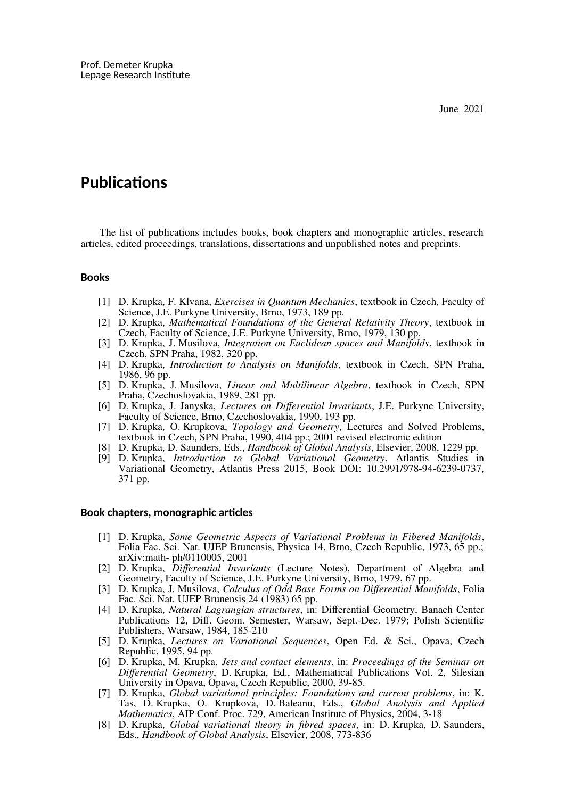# **Publications**

The list of publications includes books, book chapters and monographic articles, research articles, edited proceedings, translations, dissertations and unpublished notes and preprints.

# **Books**

- [1] D. Krupka, F. Klvana, *Exercises in Quantum Mechanics*, textbook in Czech, Faculty of Science, J.E. Purkyne University, Brno, 1973, 189 pp.
- [2] D. Krupka, *Mathematical Foundations of the General Relativity Theory*, textbook in Czech, Faculty of Science, J.E. Purkyne University, Brno, 1979, 130 pp.
- [3] D. Krupka, J. Musilova, *Integration on Euclidean spaces and Manifolds*, textbook in Czech, SPN Praha, 1982, 320 pp.
- [4] D. Krupka, *Introduction to Analysis on Manifolds*, textbook in Czech, SPN Praha, 1986, 96 pp.
- [5] D. Krupka, J. Musilova, *Linear and Multilinear Algebra*, textbook in Czech, SPN Praha, Czechoslovakia, 1989, 281 pp.
- [6] D. Krupka, J. Janyska, *Lectures on Differential Invariants*, J.E. Purkyne University, Faculty of Science, Brno, Czechoslovakia, 1990, 193 pp.
- [7] D. Krupka, O. Krupkova, *Topology and Geometry*, Lectures and Solved Problems, textbook in Czech, SPN Praha, 1990, 404 pp.; 2001 revised electronic edition
- [8] D. Krupka, D. Saunders, Eds., *Handbook of Global Analysis*, Elsevier, 2008, 1229 pp.
- [9] D. Krupka, *Introduction to Global Variational Geometry*, Atlantis Studies in Variational Geometry, Atlantis Press 2015, Book DOI: 10.2991/978-94-6239-0737, 371 pp.

#### **Book chapters, monographic articles**

- [1] D. Krupka, *Some Geometric Aspects of Variational Problems in Fibered Manifolds*, Folia Fac. Sci. Nat. UJEP Brunensis, Physica 14, Brno, Czech Republic, 1973, 65 pp.; arXiv:math- ph/0110005, 2001
- [2] D. Krupka, *Differential Invariants* (Lecture Notes), Department of Algebra and Geometry, Faculty of Science, J.E. Purkyne University, Brno, 1979, 67 pp.
- [3] D. Krupka, J. Musilova, *Calculus of Odd Base Forms on Differential Manifolds*, Folia Fac. Sci. Nat. UJEP Brunensis 24 (1983) 65 pp.
- [4] D. Krupka, *Natural Lagrangian structures*, in: Differential Geometry, Banach Center Publications 12, Diff. Geom. Semester, Warsaw, Sept.-Dec. 1979; Polish Scientific Publishers, Warsaw, 1984, 185-210
- [5] D. Krupka, *Lectures on Variational Sequences*, Open Ed. & Sci., Opava, Czech Republic, 1995, 94 pp.
- [6] D. Krupka, M. Krupka, *Jets and contact elements*, in: *Proceedings of the Seminar on Differential Geometry*, D. Krupka, Ed., Mathematical Publications Vol. 2, Silesian University in Opava, Opava, Czech Republic, 2000, 39-85.
- [7] D. Krupka, *Global variational principles: Foundations and current problems*, in: K. Tas, D. Krupka, O. Krupkova, D. Baleanu, Eds., *Global Analysis and Applied Mathematics*, AIP Conf. Proc. 729, American Institute of Physics, 2004, 3-18
- [8] D. Krupka, *Global variational theory in fibred spaces*, in: D. Krupka, D. Saunders, Eds., *Handbook of Global Analysis*, Elsevier, 2008, 773-836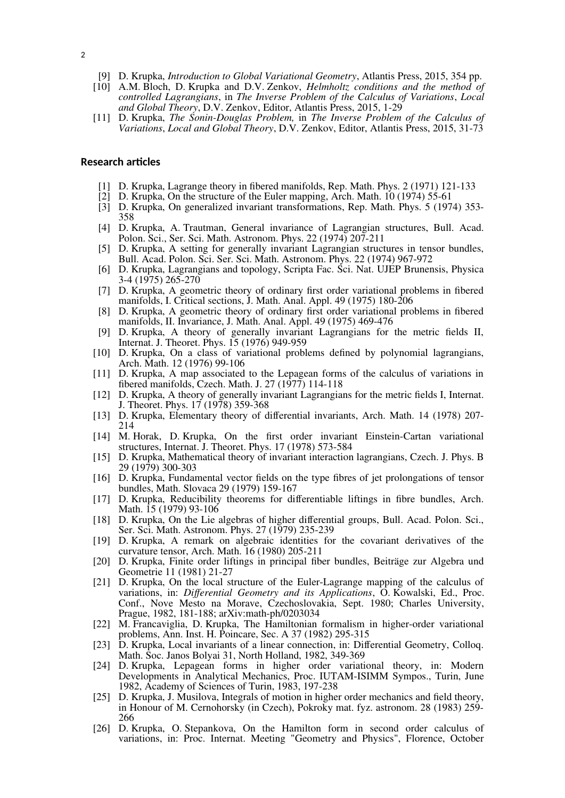- [9] D. Krupka, *Introduction to Global Variational Geometry*, Atlantis Press, 2015, 354 pp.
- [10] A.M. Bloch, D. Krupka and D.V. Zenkov, *Helmholtz conditions and the method of controlled Lagrangians*, in *The Inverse Problem of the Calculus of Variations*, *Local and Global Theory*, D.V. Zenkov, Editor, Atlantis Press, 2015, 1-29
- [11] D. Krupka, *The Sonin-Douglas Problem,* in *The Inverse Problem of the Calculus of Variations*, *Local and Global Theory*, D.V. Zenkov, Editor, Atlantis Press, 2015, 31-73

# **Research articles**

- [1] D. Krupka, Lagrange theory in fibered manifolds, Rep. Math. Phys. 2 (1971) 121-133
- [2] D. Krupka, On the structure of the Euler mapping, Arch. Math. 10 (1974) 55-61
- [3] D. Krupka, On generalized invariant transformations, Rep. Math. Phys. 5 (1974) 353- 358
- [4] D. Krupka, A. Trautman, General invariance of Lagrangian structures, Bull. Acad. Polon. Sci., Ser. Sci. Math. Astronom. Phys. 22 (1974) 207-211
- [5] D. Krupka, A setting for generally invariant Lagrangian structures in tensor bundles, Bull. Acad. Polon. Sci. Ser. Sci. Math. Astronom. Phys. 22 (1974) 967-972
- [6] D. Krupka, Lagrangians and topology, Scripta Fac. Sci. Nat. UJEP Brunensis, Physica 3-4 (1975) 265-270
- [7] D. Krupka, A geometric theory of ordinary first order variational problems in fibered manifolds, I. Critical sections, J. Math. Anal. Appl. 49 (1975) 180-206
- [8] D. Krupka, A geometric theory of ordinary first order variational problems in fibered manifolds, II. Invariance, J. Math. Anal. Appl. 49 (1975) 469-476
- [9] D. Krupka, A theory of generally invariant Lagrangians for the metric fields II, Internat. J. Theoret. Phys. 15 (1976) 949-959
- [10] D. Krupka, On a class of variational problems defined by polynomial lagrangians, Arch. Math. 12 (1976) 99-106
- [11] D. Krupka, A map associated to the Lepagean forms of the calculus of variations in fibered manifolds, Czech. Math. J. 27 (1977) 114-118
- [12] D. Krupka, A theory of generally invariant Lagrangians for the metric fields I, Internat. J. Theoret. Phys. 17 (1978) 359-368
- [13] D. Krupka, Elementary theory of differential invariants, Arch. Math. 14 (1978) 207- 214
- [14] M. Horak, D. Krupka, On the first order invariant Einstein-Cartan variational structures, Internat. J. Theoret. Phys. 17 (1978) 573-584
- [15] D. Krupka, Mathematical theory of invariant interaction lagrangians, Czech. J. Phys. B 29 (1979) 300-303
- [16] D. Krupka, Fundamental vector fields on the type fibres of jet prolongations of tensor bundles, Math. Slovaca 29 (1979) 159-167
- [17] D. Krupka, Reducibility theorems for differentiable liftings in fibre bundles, Arch. Math. 15 (1979) 93-106
- [18] D. Krupka, On the Lie algebras of higher differential groups, Bull. Acad. Polon. Sci., Ser. Sci. Math. Astronom. Phys. 27 (1979) 235-239
- [19] D. Krupka, A remark on algebraic identities for the covariant derivatives of the curvature tensor, Arch. Math. 16 (1980) 205-211
- [20] D. Krupka, Finite order liftings in principal fiber bundles, Beiträge zur Algebra und Geometrie 11 (1981) 21-27
- [21] D. Krupka, On the local structure of the Euler-Lagrange mapping of the calculus of variations, in: *Differential Geometry and its Applications*, O. Kowalski, Ed., Proc. Conf., Nove Mesto na Morave, Czechoslovakia, Sept. 1980; Charles University, Prague, 1982, 181-188; arXiv:math-ph/0203034
- [22] M. Francaviglia, D. Krupka, The Hamiltonian formalism in higher-order variational problems, Ann. Inst. H. Poincare, Sec. A 37 (1982) 295-315
- [23] D. Krupka, Local invariants of a linear connection, in: Differential Geometry, Colloq. Math. Soc. Janos Bolyai 31, North Holland, 1982, 349-369
- [24] D. Krupka, Lepagean forms in higher order variational theory, in: Modern Developments in Analytical Mechanics, Proc. IUTAM-ISIMM Sympos., Turin, June 1982, Academy of Sciences of Turin, 1983, 197-238
- [25] D. Krupka, J. Musilova, Integrals of motion in higher order mechanics and field theory, in Honour of M. Cernohorsky (in Czech), Pokroky mat. fyz. astronom. 28 (1983) 259- 266
- [26] D. Krupka, O. Stepankova, On the Hamilton form in second order calculus of variations, in: Proc. Internat. Meeting "Geometry and Physics", Florence, October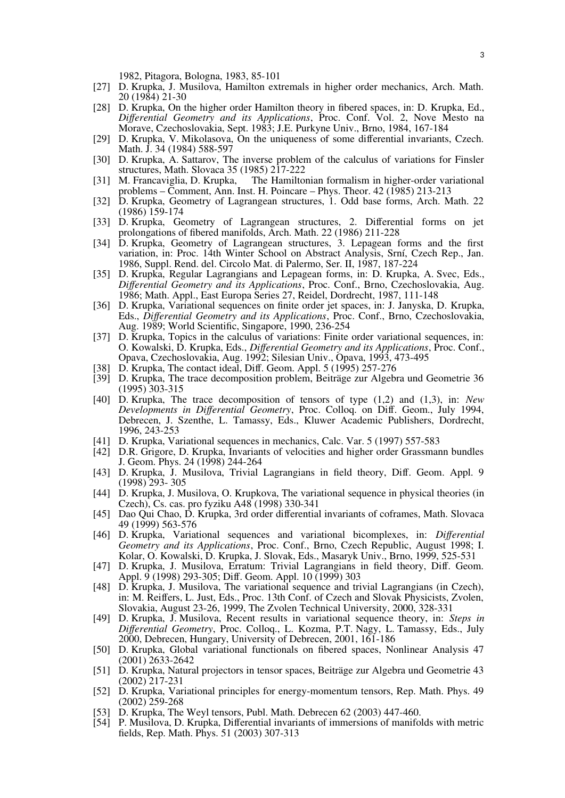1982, Pitagora, Bologna, 1983, 85-101

- [27] D. Krupka, J. Musilova, Hamilton extremals in higher order mechanics, Arch. Math. 20 (1984) 21-30
- [28] D. Krupka, On the higher order Hamilton theory in fibered spaces, in: D. Krupka, Ed., *Differential Geometry and its Applications*, Proc. Conf. Vol. 2, Nove Mesto na Morave, Czechoslovakia, Sept. 1983; J.E. Purkyne Univ., Brno, 1984, 167-184
- [29] D. Krupka, V. Mikolasova, On the uniqueness of some differential invariants, Czech. Math. J. 34 (1984) 588-597
- [30] D. Krupka, A. Sattarov, The inverse problem of the calculus of variations for Finsler structures, Math. Slovaca 35 (1985) 217-222
- [31] M. Francaviglia, D. Krupka, The Hamiltonian formalism in higher-order variational problems – Comment, Ann. Inst. H. Poincare – Phys. Theor. 42 (1985) 213-213
- [32] D. Krupka, Geometry of Lagrangean structures, 1. Odd base forms, Arch. Math. 22 (1986) 159-174
- [33] D. Krupka, Geometry of Lagrangean structures, 2. Differential forms on jet prolongations of fibered manifolds, Arch. Math. 22 (1986) 211-228
- [34] D. Krupka, Geometry of Lagrangean structures, 3. Lepagean forms and the first variation, in: Proc. 14th Winter School on Abstract Analysis, Srní, Czech Rep., Jan. 1986, Suppl. Rend. del. Circolo Mat. di Palermo, Ser. II, 1987, 187-224
- [35] D. Krupka, Regular Lagrangians and Lepagean forms, in: D. Krupka, A. Svec, Eds., *Differential Geometry and its Applications*, Proc. Conf., Brno, Czechoslovakia, Aug. 1986; Math. Appl., East Europa Series 27, Reidel, Dordrecht, 1987, 111-148
- [36] D. Krupka, Variational sequences on finite order jet spaces, in: J. Janyska, D. Krupka, Eds., *Differential Geometry and its Applications*, Proc. Conf., Brno, Czechoslovakia, Aug. 1989; World Scientific, Singapore, 1990, 236-254
- [37] D. Krupka, Topics in the calculus of variations: Finite order variational sequences, in: O. Kowalski, D. Krupka, Eds., *Differential Geometry and its Applications*, Proc. Conf., Opava, Czechoslovakia, Aug. 1992; Silesian Univ., Opava, 1993, 473-495
- [38] D. Krupka, The contact ideal, Diff. Geom. Appl. 5 (1995) 257-276
- [39] D. Krupka, The trace decomposition problem, Beiträge zur Algebra und Geometrie 36 (1995) 303-315
- [40] D. Krupka, The trace decomposition of tensors of type (1,2) and (1,3), in: *New Developments in Differential Geometry*, Proc. Colloq. on Diff. Geom., July 1994, Debrecen, J. Szenthe, L. Tamassy, Eds., Kluwer Academic Publishers, Dordrecht, 1996, 243-253
- [41] D. Krupka, Variational sequences in mechanics, Calc. Var. 5 (1997) 557-583
- [42] D.R. Grigore, D. Krupka, Invariants of velocities and higher order Grassmann bundles J. Geom. Phys. 24 (1998) 244-264
- [43] D. Krupka, J. Musilova, Trivial Lagrangians in field theory, Diff. Geom. Appl. 9 (1998) 293- 305
- [44] D. Krupka, J. Musilova, O. Krupkova, The variational sequence in physical theories (in Czech), Cs. cas. pro fyziku A48 (1998) 330-341
- [45] Dao Qui Chao, D. Krupka, 3rd order differential invariants of coframes, Math. Slovaca 49 (1999) 563-576
- [46] D. Krupka, Variational sequences and variational bicomplexes, in: *Differential Geometry and its Applications*, Proc. Conf., Brno, Czech Republic, August 1998; I. Kolar, O. Kowalski, D. Krupka, J. Slovak, Eds., Masaryk Univ., Brno, 1999, 525-531
- [47] D. Krupka, J. Musilova, Erratum: Trivial Lagrangians in field theory, Diff. Geom. Appl. 9 (1998) 293-305; Diff. Geom. Appl. 10 (1999) 303
- [48] D. Krupka, J. Musilova, The variational sequence and trivial Lagrangians (in Czech), in: M. Reiffers, L. Just, Eds., Proc. 13th Conf. of Czech and Slovak Physicists, Zvolen, Slovakia, August 23-26, 1999, The Zvolen Technical University, 2000, 328-331
- [49] D. Krupka, J. Musilova, Recent results in variational sequence theory, in: *Steps in Differential Geometry*, Proc. Colloq., L. Kozma, P.T. Nagy, L. Tamassy, Eds., July 2000, Debrecen, Hungary, University of Debrecen, 2001, 161-186
- [50] D. Krupka, Global variational functionals on fibered spaces, Nonlinear Analysis 47 (2001) 2633-2642
- [51] D. Krupka, Natural projectors in tensor spaces, Beiträge zur Algebra und Geometrie 43 (2002) 217-231
- [52] D. Krupka, Variational principles for energy-momentum tensors, Rep. Math. Phys. 49 (2002) 259-268
- [53] D. Krupka, The Weyl tensors, Publ. Math. Debrecen 62 (2003) 447-460.
- [54] P. Musilova, D. Krupka, Differential invariants of immersions of manifolds with metric fields, Rep. Math. Phys. 51 (2003) 307-313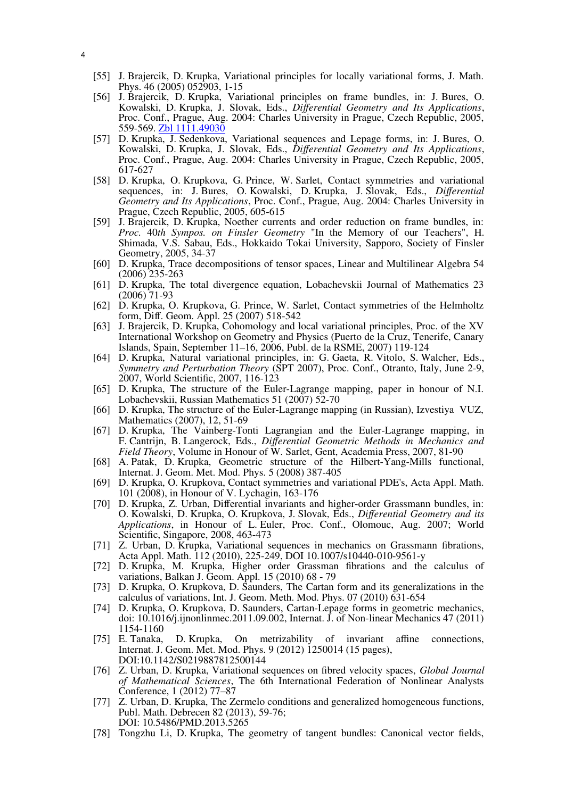- [55] J. Brajercik, D. Krupka, Variational principles for locally variational forms, J. Math. Phys. 46 (2005) 052903, 1-15
- [56] J. Brajercik, D. Krupka, Variational principles on frame bundles, in: J. Bures, O. Kowalski, D. Krupka, J. Slovak, Eds., *Differential Geometry and Its Applications*, Proc. Conf., Prague, Aug. 2004: Charles University in Prague, Czech Republic, 2005, 559-569. [Zbl 1111.49030](http://www.zentralblatt-math.org/zmath/en/search/?q=an:1111.49030&format=complete)
- [57] D. Krupka, J. Sedenkova, Variational sequences and Lepage forms, in: J. Bures, O. Kowalski, D. Krupka, J. Slovak, Eds., *Differential Geometry and Its Applications*, Proc. Conf., Prague, Aug. 2004: Charles University in Prague, Czech Republic, 2005, 617-627
- [58] D. Krupka, O. Krupkova, G. Prince, W. Sarlet, Contact symmetries and variational sequences, in: J. Bures, O. Kowalski, D. Krupka, J. Slovak, Eds., *Differential Geometry and Its Applications*, Proc. Conf., Prague, Aug. 2004: Charles University in Prague, Czech Republic, 2005, 605-615
- [59] J. Brajercik, D. Krupka, Noether currents and order reduction on frame bundles, in: *Proc.* 40*th Sympos. on Finsler Geometry* "In the Memory of our Teachers", H. Shimada, V.S. Sabau, Eds., Hokkaido Tokai University, Sapporo, Society of Finsler Geometry, 2005, 34-37
- [60] D. Krupka, Trace decompositions of tensor spaces, Linear and Multilinear Algebra 54 (2006) 235-263
- [61] D. Krupka, The total divergence equation, Lobachevskii Journal of Mathematics 23 (2006) 71-93
- [62] D. Krupka, O. Krupkova, G. Prince, W. Sarlet, Contact symmetries of the Helmholtz form, Diff. Geom. Appl. 25 (2007) 518-542
- [63] J. Brajercik, D. Krupka, Cohomology and local variational principles, Proc. of the XV International Workshop on Geometry and Physics (Puerto de la Cruz, Tenerife, Canary Islands, Spain, September 11–16, 2006, Publ. de la RSME, 2007) 119-124
- [64] D. Krupka, Natural variational principles, in: G. Gaeta, R. Vitolo, S. Walcher, Eds., *Symmetry and Perturbation Theory* (SPT 2007), Proc. Conf., Otranto, Italy, June 2-9, 2007, World Scientific, 2007, 116-123
- [65] D. Krupka, The structure of the Euler-Lagrange mapping, paper in honour of N.I. Lobachevskii, Russian Mathematics 51 (2007) 52-70
- [66] D. Krupka, The structure of the Euler-Lagrange mapping (in Russian), Izvestiya VUZ, Mathematics (2007), 12, 51-69
- [67] D. Krupka, The Vainberg-Tonti Lagrangian and the Euler-Lagrange mapping, in F. Cantrijn, B. Langerock, Eds., *Differential Geometric Methods in Mechanics and Field Theory*, Volume in Honour of W. Sarlet, Gent, Academia Press, 2007, 81-90
- [68] A. Patak, D. Krupka, Geometric structure of the Hilbert-Yang-Mills functional, Internat. J. Geom. Met. Mod. Phys. 5 (2008) 387-405
- [69] D. Krupka, O. Krupkova, Contact symmetries and variational PDE's, Acta Appl. Math. 101 (2008), in Honour of V. Lychagin, 163-176
- [70] D. Krupka, Z. Urban, Differential invariants and higher-order Grassmann bundles, in: O. Kowalski, D. Krupka, O. Krupkova, J. Slovak, Eds., *Differential Geometry and its Applications*, in Honour of L. Euler, Proc. Conf., Olomouc, Aug. 2007; World Scientific, Singapore, 2008, 463-473
- [71] Z. Urban, D. Krupka, Variational sequences in mechanics on Grassmann fibrations, Acta Appl. Math. 112 (2010), 225-249, DOI 10.1007/s10440-010-9561-y
- [72] D. Krupka, M. Krupka, Higher order Grassman fibrations and the calculus of variations, Balkan J. Geom. Appl. 15 (2010) 68 - 79
- [73] D. Krupka, O. Krupkova, D. Saunders, The Cartan form and its generalizations in the calculus of variations, Int. J. Geom. Meth. Mod. Phys. 07 (2010) 631-654
- [74] D. Krupka, O. Krupkova, D. Saunders, Cartan-Lepage forms in geometric mechanics, doi: 10.1016/j.ijnonlinmec.2011.09.002, Internat. J. of Non-linear Mechanics 47 (2011) 1154-1160<br> **E. Tanaka,**
- D. Krupka, On metrizability of invariant affine connections, Internat. J. Geom. Met. Mod. Phys. 9 (2012) 1250014 (15 pages), DOI:10.1142/S0219887812500144
- [76] Z. Urban, D. Krupka, Variational sequences on fibred velocity spaces, *Global Journal of Mathematical Sciences*, The 6th International Federation of Nonlinear Analysts Conference, 1 (2012) 77–87
- [77] Z. Urban, D. Krupka, The Zermelo conditions and generalized homogeneous functions, Publ. Math. Debrecen 82 (2013), 59-76; DOI: 10.5486/PMD.2013.5265
- [78] Tongzhu Li, D. Krupka, The geometry of tangent bundles: Canonical vector fields,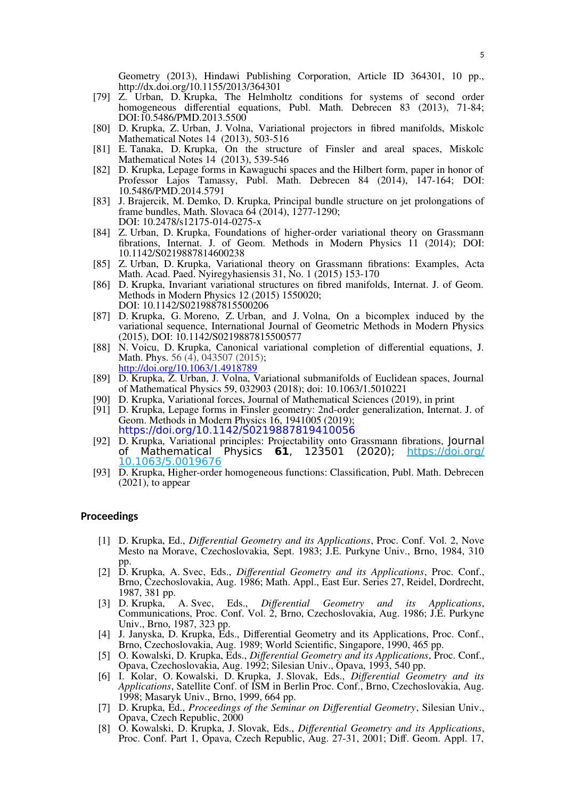Geometry (2013), Hindawi Publishing Corporation, Article ID 364301, 10 pp., http://dx.doi.org/10.1155/2013/364301

- [79] Z. Urban, D. Krupka, The Helmholtz conditions for systems of second order homogeneous differential equations, Publ. Math. Debrecen 83 (2013), 71-84; DOI:10.5486/PMD.2013.5500
- [80] D. Krupka, Z. Urban, J. Volna, Variational projectors in fibred manifolds, Miskolc Mathematical Notes 14 (2013), 503-516
- [81] E. Tanaka, D. Krupka, On the structure of Finsler and areal spaces, Miskolc Mathematical Notes 14 (2013), 539-546
- [82] D. Krupka, Lepage forms in Kawaguchi spaces and the Hilbert form, paper in honor of Professor Lajos Tamassy, Publ. Math. Debrecen 84 (2014), 147-164; DOI: 10.5486/PMD.2014.5791
- [83] J. Brajercik, M. Demko, D. Krupka, Principal bundle structure on jet prolongations of frame bundles, Math. Slovaca  $64$  (2014), 1277-1290; DOI: 10.2478/s12175-014-0275-x
- [84] Z. Urban, D. Krupka, Foundations of higher-order variational theory on Grassmann fibrations, Internat. J. of Geom. Methods in Modern Physics 11 (2014); DOI: 10.1142/S0219887814600238
- [85] Z. Urban, D. Krupka, Variational theory on Grassmann fibrations: Examples, Acta Math. Acad. Paed. Nyiregyhasiensis 31, No. 1 (2015) 153-170
- [86] D. Krupka, Invariant variational structures on fibred manifolds, Internat. J. of Geom. Methods in Modern Physics 12 (2015) 1550020; DOI: 10.1142/S0219887815500206
- [87] D. Krupka, G. Moreno, Z. Urban, and J. Volna, On a bicomplex induced by the variational sequence, International Journal of Geometric Methods in Modern Physics (2015), DOI: 10.1142/S0219887815500577
- [88] N. Voicu, D. Krupka, Canonical variational completion of differential equations, J. Math. Phys. 56 (4), 043507 (2015);
- <http://doi.org/10.1063/1.4918789>
- [89] D. Krupka, Z. Urban, J. Volna, Variational submanifolds of Euclidean spaces, Journal of Mathematical Physics 59, 032903 (2018); doi: 10.1063/1.5010221
- [90] D. Krupka, Variational forces, Journal of Mathematical Sciences (2019), in print
- [91] D. Krupka, Lepage forms in Finsler geometry: 2nd-order generalization, Internat. J. of Geom. Methods in Modern Physics 16, 1941005 (2019); <https://doi.org/10.1142/S0219887819410056>
- [92] D. Krupka, Variational principles: Projectability onto Grassmann fibrations, Journal of Mathematical Physics **61**, 123501 (2020); [https://doi.org/](https://doi.org/10.1063/5.0019676) [10.1063/5.0019676](https://doi.org/10.1063/5.0019676)
- [93] D. Krupka, Higher-order homogeneous functions: Classification, Publ. Math. Debrecen  $(2021)$ , to appear

# **Proceedings**

- [1] D. Krupka, Ed., *Differential Geometry and its Applications*, Proc. Conf. Vol. 2, Nove Mesto na Morave, Czechoslovakia, Sept. 1983; J.E. Purkyne Univ., Brno, 1984, 310 pp.
- [2] D. Krupka, A. Svec, Eds., *Differential Geometry and its Applications*, Proc. Conf., Brno, Czechoslovakia, Aug. 1986; Math. Appl., East Eur. Series 27, Reidel, Dordrecht, 1987, 381 pp.<br>[3] D. Krupka,
- [3] D. Krupka, A. Svec, Eds., *Differential Geometry and its Applications*, Communications, Proc. Conf. Vol. 2, Brno, Czechoslovakia, Aug. 1986; J.E. Purkyne Univ., Brno, 1987, 323 pp.
- [4] J. Janyska, D. Krupka, Eds., Differential Geometry and its Applications, Proc. Conf., Brno, Czechoslovakia, Aug. 1989; World Scientific, Singapore, 1990, 465 pp.
- [5] O. Kowalski, D. Krupka, Eds., *Differential Geometry and its Applications*, Proc. Conf., Opava, Czechoslovakia, Aug. 1992; Silesian Univ., Opava, 1993, 540 pp.
- [6] I. Kolar, O. Kowalski, D. Krupka, J. Slovak, Eds., *Differential Geometry and its Applications*, Satellite Conf. of ISM in Berlin Proc. Conf., Brno, Czechoslovakia, Aug. 1998; Masaryk Univ., Brno, 1999, 664 pp.
- [7] D. Krupka, Ed., *Proceedings of the Seminar on Differential Geometry*, Silesian Univ., Opava, Czech Republic, 2000
- [8] O. Kowalski, D. Krupka, J. Slovak, Eds., *Differential Geometry and its Applications*, Proc. Conf. Part 1, Opava, Czech Republic, Aug. 27-31, 2001; Diff. Geom. Appl. 17,